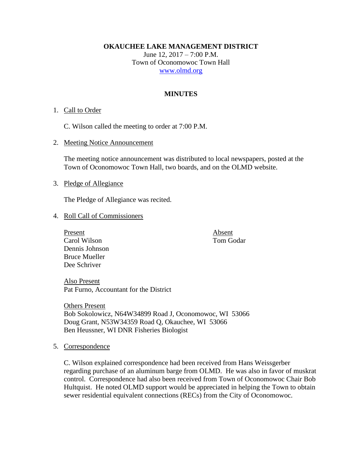**OKAUCHEE LAKE MANAGEMENT DISTRICT**

June 12, 2017 – 7:00 P.M. Town of Oconomowoc Town Hall [www.olmd.org](http://www.olmd.org/)

### **MINUTES**

#### 1. Call to Order

C. Wilson called the meeting to order at 7:00 P.M.

2. Meeting Notice Announcement

The meeting notice announcement was distributed to local newspapers, posted at the Town of Oconomowoc Town Hall, two boards, and on the OLMD website.

### 3. Pledge of Allegiance

The Pledge of Allegiance was recited.

#### 4. Roll Call of Commissioners

Present Absent Carol Wilson Tom Godar Dennis Johnson Bruce Mueller Dee Schriver

Also Present Pat Furno, Accountant for the District

Others Present Bob Sokolowicz, N64W34899 Road J, Oconomowoc, WI 53066 Doug Grant, N53W34359 Road Q, Okauchee, WI 53066 Ben Heussner, WI DNR Fisheries Biologist

5. Correspondence

C. Wilson explained correspondence had been received from Hans Weissgerber regarding purchase of an aluminum barge from OLMD. He was also in favor of muskrat control. Correspondence had also been received from Town of Oconomowoc Chair Bob Hultquist. He noted OLMD support would be appreciated in helping the Town to obtain sewer residential equivalent connections (RECs) from the City of Oconomowoc.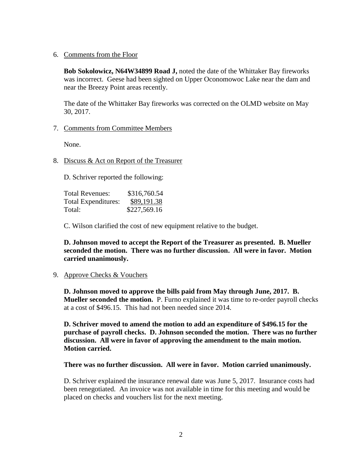6. Comments from the Floor

**Bob Sokolowicz, N64W34899 Road J,** noted the date of the Whittaker Bay fireworks was incorrect. Geese had been sighted on Upper Oconomowoc Lake near the dam and near the Breezy Point areas recently.

The date of the Whittaker Bay fireworks was corrected on the OLMD website on May 30, 2017.

### 7. Comments from Committee Members

None.

8. Discuss & Act on Report of the Treasurer

D. Schriver reported the following:

| <b>Total Revenues:</b> | \$316,760.54 |
|------------------------|--------------|
| Total Expenditures:    | \$89,191.38  |
| Total:                 | \$227,569.16 |

C. Wilson clarified the cost of new equipment relative to the budget.

**D. Johnson moved to accept the Report of the Treasurer as presented. B. Mueller seconded the motion. There was no further discussion. All were in favor. Motion carried unanimously.**

9. Approve Checks & Vouchers

**D. Johnson moved to approve the bills paid from May through June, 2017. B. Mueller seconded the motion.** P. Furno explained it was time to re-order payroll checks at a cost of \$496.15. This had not been needed since 2014.

**D. Schriver moved to amend the motion to add an expenditure of \$496.15 for the purchase of payroll checks. D. Johnson seconded the motion. There was no further discussion. All were in favor of approving the amendment to the main motion. Motion carried.** 

### **There was no further discussion. All were in favor. Motion carried unanimously.**

D. Schriver explained the insurance renewal date was June 5, 2017. Insurance costs had been renegotiated. An invoice was not available in time for this meeting and would be placed on checks and vouchers list for the next meeting.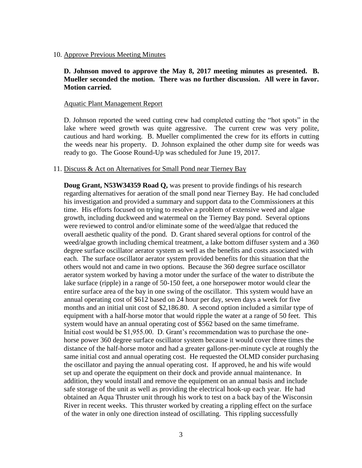10. Approve Previous Meeting Minutes

**D. Johnson moved to approve the May 8, 2017 meeting minutes as presented. B. Mueller seconded the motion. There was no further discussion. All were in favor. Motion carried.**

#### Aquatic Plant Management Report

D. Johnson reported the weed cutting crew had completed cutting the "hot spots" in the lake where weed growth was quite aggressive. The current crew was very polite, cautious and hard working. B. Mueller complimented the crew for its efforts in cutting the weeds near his property. D. Johnson explained the other dump site for weeds was ready to go. The Goose Round-Up was scheduled for June 19, 2017.

#### 11. Discuss & Act on Alternatives for Small Pond near Tierney Bay

**Doug Grant, N53W34359 Road Q,** was present to provide findings of his research regarding alternatives for aeration of the small pond near Tierney Bay. He had concluded his investigation and provided a summary and support data to the Commissioners at this time. His efforts focused on trying to resolve a problem of extensive weed and algae growth, including duckweed and watermeal on the Tierney Bay pond. Several options were reviewed to control and/or eliminate some of the weed/algae that reduced the overall aesthetic quality of the pond. D. Grant shared several options for control of the weed/algae growth including chemical treatment, a lake bottom diffuser system and a 360 degree surface oscillator aerator system as well as the benefits and costs associated with each. The surface oscillator aerator system provided benefits for this situation that the others would not and came in two options. Because the 360 degree surface oscillator aerator system worked by having a motor under the surface of the water to distribute the lake surface (ripple) in a range of 50-150 feet, a one horsepower motor would clear the entire surface area of the bay in one swing of the oscillator. This system would have an annual operating cost of \$612 based on 24 hour per day, seven days a week for five months and an initial unit cost of \$2,186.80. A second option included a similar type of equipment with a half-horse motor that would ripple the water at a range of 50 feet. This system would have an annual operating cost of \$562 based on the same timeframe. Initial cost would be \$1,955.00. D. Grant's recommendation was to purchase the onehorse power 360 degree surface oscillator system because it would cover three times the distance of the half-horse motor and had a greater gallons-per-minute cycle at roughly the same initial cost and annual operating cost. He requested the OLMD consider purchasing the oscillator and paying the annual operating cost. If approved, he and his wife would set up and operate the equipment on their dock and provide annual maintenance. In addition, they would install and remove the equipment on an annual basis and include safe storage of the unit as well as providing the electrical hook-up each year. He had obtained an Aqua Thruster unit through his work to test on a back bay of the Wisconsin River in recent weeks. This thruster worked by creating a rippling effect on the surface of the water in only one direction instead of oscillating. This rippling successfully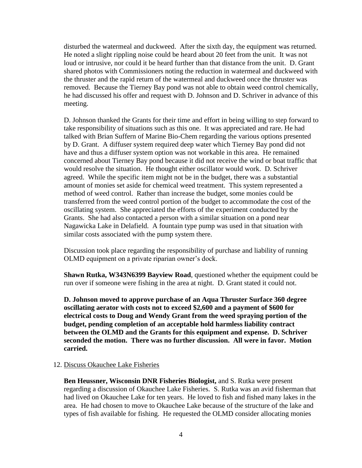disturbed the watermeal and duckweed. After the sixth day, the equipment was returned. He noted a slight rippling noise could be heard about 20 feet from the unit. It was not loud or intrusive, nor could it be heard further than that distance from the unit. D. Grant shared photos with Commissioners noting the reduction in watermeal and duckweed with the thruster and the rapid return of the watermeal and duckweed once the thruster was removed. Because the Tierney Bay pond was not able to obtain weed control chemically, he had discussed his offer and request with D. Johnson and D. Schriver in advance of this meeting.

D. Johnson thanked the Grants for their time and effort in being willing to step forward to take responsibility of situations such as this one. It was appreciated and rare. He had talked with Brian Suffern of Marine Bio-Chem regarding the various options presented by D. Grant. A diffuser system required deep water which Tierney Bay pond did not have and thus a diffuser system option was not workable in this area. He remained concerned about Tierney Bay pond because it did not receive the wind or boat traffic that would resolve the situation. He thought either oscillator would work. D. Schriver agreed. While the specific item might not be in the budget, there was a substantial amount of monies set aside for chemical weed treatment. This system represented a method of weed control. Rather than increase the budget, some monies could be transferred from the weed control portion of the budget to accommodate the cost of the oscillating system. She appreciated the efforts of the experiment conducted by the Grants. She had also contacted a person with a similar situation on a pond near Nagawicka Lake in Delafield. A fountain type pump was used in that situation with similar costs associated with the pump system there.

Discussion took place regarding the responsibility of purchase and liability of running OLMD equipment on a private riparian owner's dock.

**Shawn Rutka, W343N6399 Bayview Road**, questioned whether the equipment could be run over if someone were fishing in the area at night. D. Grant stated it could not.

**D. Johnson moved to approve purchase of an Aqua Thruster Surface 360 degree oscillating aerator with costs not to exceed \$2,600 and a payment of \$600 for electrical costs to Doug and Wendy Grant from the weed spraying portion of the budget, pending completion of an acceptable hold harmless liability contract between the OLMD and the Grants for this equipment and expense. D. Schriver seconded the motion. There was no further discussion. All were in favor. Motion carried.**

### 12. Discuss Okauchee Lake Fisheries

**Ben Heussner, Wisconsin DNR Fisheries Biologist,** and S. Rutka were present regarding a discussion of Okauchee Lake Fisheries. S. Rutka was an avid fisherman that had lived on Okauchee Lake for ten years. He loved to fish and fished many lakes in the area. He had chosen to move to Okauchee Lake because of the structure of the lake and types of fish available for fishing. He requested the OLMD consider allocating monies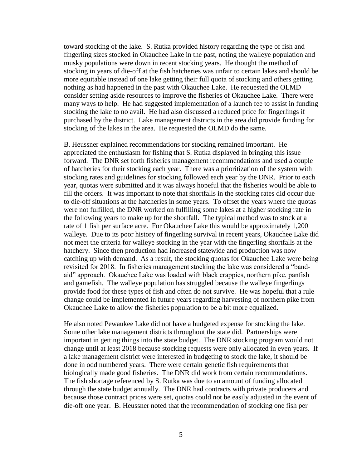toward stocking of the lake. S. Rutka provided history regarding the type of fish and fingerling sizes stocked in Okauchee Lake in the past, noting the walleye population and musky populations were down in recent stocking years. He thought the method of stocking in years of die-off at the fish hatcheries was unfair to certain lakes and should be more equitable instead of one lake getting their full quota of stocking and others getting nothing as had happened in the past with Okauchee Lake. He requested the OLMD consider setting aside resources to improve the fisheries of Okauchee Lake. There were many ways to help. He had suggested implementation of a launch fee to assist in funding stocking the lake to no avail. He had also discussed a reduced price for fingerlings if purchased by the district. Lake management districts in the area did provide funding for stocking of the lakes in the area. He requested the OLMD do the same.

B. Heussner explained recommendations for stocking remained important. He appreciated the enthusiasm for fishing that S. Rutka displayed in bringing this issue forward. The DNR set forth fisheries management recommendations and used a couple of hatcheries for their stocking each year. There was a prioritization of the system with stocking rates and guidelines for stocking followed each year by the DNR. Prior to each year, quotas were submitted and it was always hopeful that the fisheries would be able to fill the orders. It was important to note that shortfalls in the stocking rates did occur due to die-off situations at the hatcheries in some years. To offset the years where the quotas were not fulfilled, the DNR worked on fulfilling some lakes at a higher stocking rate in the following years to make up for the shortfall. The typical method was to stock at a rate of 1 fish per surface acre. For Okauchee Lake this would be approximately 1,200 walleye. Due to its poor history of fingerling survival in recent years, Okauchee Lake did not meet the criteria for walleye stocking in the year with the fingerling shortfalls at the hatchery. Since then production had increased statewide and production was now catching up with demand. As a result, the stocking quotas for Okauchee Lake were being revisited for 2018. In fisheries management stocking the lake was considered a "bandaid" approach. Okauchee Lake was loaded with black crappies, northern pike, panfish and gamefish. The walleye population has struggled because the walleye fingerlings provide food for these types of fish and often do not survive. He was hopeful that a rule change could be implemented in future years regarding harvesting of northern pike from Okauchee Lake to allow the fisheries population to be a bit more equalized.

He also noted Pewaukee Lake did not have a budgeted expense for stocking the lake. Some other lake management districts throughout the state did. Partnerships were important in getting things into the state budget. The DNR stocking program would not change until at least 2018 because stocking requests were only allocated in even years. If a lake management district were interested in budgeting to stock the lake, it should be done in odd numbered years. There were certain genetic fish requirements that biologically made good fisheries. The DNR did work from certain recommendations. The fish shortage referenced by S. Rutka was due to an amount of funding allocated through the state budget annually. The DNR had contracts with private producers and because those contract prices were set, quotas could not be easily adjusted in the event of die-off one year. B. Heussner noted that the recommendation of stocking one fish per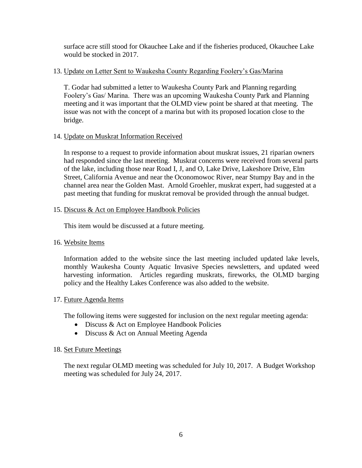surface acre still stood for Okauchee Lake and if the fisheries produced, Okauchee Lake would be stocked in 2017.

# 13. Update on Letter Sent to Waukesha County Regarding Foolery's Gas/Marina

T. Godar had submitted a letter to Waukesha County Park and Planning regarding Foolery's Gas/ Marina. There was an upcoming Waukesha County Park and Planning meeting and it was important that the OLMD view point be shared at that meeting. The issue was not with the concept of a marina but with its proposed location close to the bridge.

# 14. Update on Muskrat Information Received

In response to a request to provide information about muskrat issues, 21 riparian owners had responded since the last meeting. Muskrat concerns were received from several parts of the lake, including those near Road I, J, and O, Lake Drive, Lakeshore Drive, Elm Street, California Avenue and near the Oconomowoc River, near Stumpy Bay and in the channel area near the Golden Mast. Arnold Groehler, muskrat expert, had suggested at a past meeting that funding for muskrat removal be provided through the annual budget.

# 15. Discuss & Act on Employee Handbook Policies

This item would be discussed at a future meeting.

# 16. Website Items

Information added to the website since the last meeting included updated lake levels, monthly Waukesha County Aquatic Invasive Species newsletters, and updated weed harvesting information. Articles regarding muskrats, fireworks, the OLMD barging policy and the Healthy Lakes Conference was also added to the website.

# 17. Future Agenda Items

The following items were suggested for inclusion on the next regular meeting agenda:

- Discuss & Act on Employee Handbook Policies
- Discuss & Act on Annual Meeting Agenda

# 18. Set Future Meetings

The next regular OLMD meeting was scheduled for July 10, 2017. A Budget Workshop meeting was scheduled for July 24, 2017.